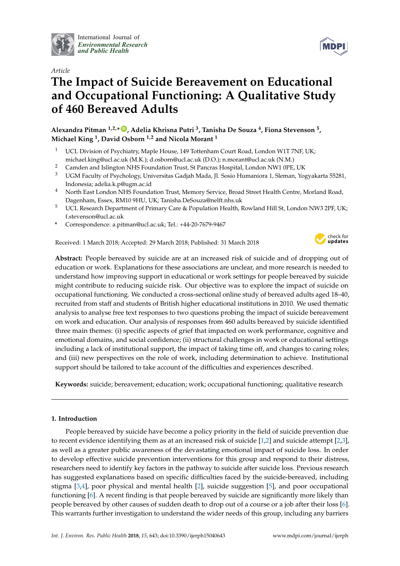

International Journal of *[Environmental Research](http://www.mdpi.com/journal/ijerph) and Public Health*



# *Article* **The Impact of Suicide Bereavement on Educational and Occupational Functioning: A Qualitative Study of 460 Bereaved Adults**

**Alexandra Pitman 1,2,\* [ID](https://orcid.org/0000-0002-9742-1359) , Adelia Khrisna Putri <sup>3</sup> , Tanisha De Souza <sup>4</sup> , Fiona Stevenson <sup>5</sup> , Michael King <sup>1</sup> , David Osborn 1,2 and Nicola Morant <sup>1</sup>**

- <sup>1</sup> UCL Division of Psychiatry, Maple House, 149 Tottenham Court Road, London W1T 7NF, UK; michael.king@ucl.ac.uk (M.K.); d.osborn@ucl.ac.uk (D.O.); n.morant@ucl.ac.uk (N.M.)
- <sup>2</sup> Camden and Islington NHS Foundation Trust, St Pancras Hospital, London NW1 0PE, UK<sup>3</sup> IJCM Faculty of Psychology University Cadiab Mada II, Socio Humaniora 1, Sleman, *You*
- <sup>3</sup> UGM Faculty of Psychology, Universitas Gadjah Mada, Jl. Sosio Humaniora 1, Sleman, Yogyakarta 55281, Indonesia; adelia.k.p@ugm.ac.id
- <sup>4</sup> North East London NHS Foundation Trust, Memory Service, Broad Street Health Centre, Morland Road, Dagenham, Essex, RM10 9HU, UK; Tanisha.DeSouza@nelft.nhs.uk
- <sup>5</sup> UCL Research Department of Primary Care & Population Health, Rowland Hill St, London NW3 2PF, UK; f.stevenson@ucl.ac.uk
- **\*** Correspondence: a.pitman@ucl.ac.uk; Tel.: +44-20-7679-9467

Received: 1 March 2018; Accepted: 29 March 2018; Published: 31 March 2018



**Abstract:** People bereaved by suicide are at an increased risk of suicide and of dropping out of education or work. Explanations for these associations are unclear, and more research is needed to understand how improving support in educational or work settings for people bereaved by suicide might contribute to reducing suicide risk. Our objective was to explore the impact of suicide on occupational functioning. We conducted a cross-sectional online study of bereaved adults aged 18–40, recruited from staff and students of British higher educational institutions in 2010. We used thematic analysis to analyse free text responses to two questions probing the impact of suicide bereavement on work and education. Our analysis of responses from 460 adults bereaved by suicide identified three main themes: (i) specific aspects of grief that impacted on work performance, cognitive and emotional domains, and social confidence; (ii) structural challenges in work or educational settings including a lack of institutional support, the impact of taking time off, and changes to caring roles; and (iii) new perspectives on the role of work, including determination to achieve. Institutional support should be tailored to take account of the difficulties and experiences described.

**Keywords:** suicide; bereavement; education; work; occupational functioning; qualitative research

# **1. Introduction**

People bereaved by suicide have become a policy priority in the field of suicide prevention due to recent evidence identifying them as at an increased risk of suicide  $[1,2]$  $[1,2]$  and suicide attempt  $[2,3]$  $[2,3]$ , as well as a greater public awareness of the devastating emotional impact of suicide loss. In order to develop effective suicide prevention interventions for this group and respond to their distress, researchers need to identify key factors in the pathway to suicide after suicide loss. Previous research has suggested explanations based on specific difficulties faced by the suicide-bereaved, including stigma [\[3](#page-14-2)[,4\]](#page-14-3), poor physical and mental health [\[2\]](#page-14-1), suicide suggestion [\[5\]](#page-14-4), and poor occupational functioning [\[6\]](#page-14-5). A recent finding is that people bereaved by suicide are significantly more likely than people bereaved by other causes of sudden death to drop out of a course or a job after their loss [\[6\]](#page-14-5). This warrants further investigation to understand the wider needs of this group, including any barriers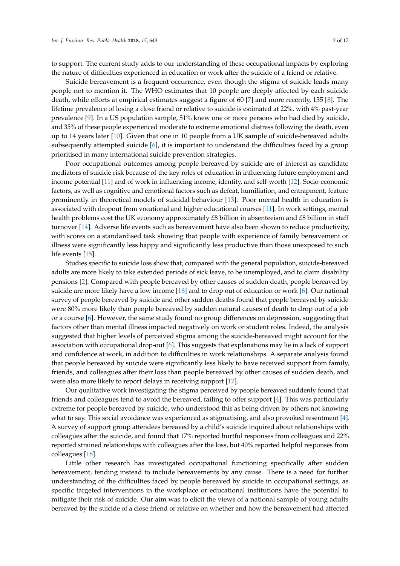to support. The current study adds to our understanding of these occupational impacts by exploring the nature of difficulties experienced in education or work after the suicide of a friend or relative.

Suicide bereavement is a frequent occurrence, even though the stigma of suicide leads many people not to mention it. The WHO estimates that 10 people are deeply affected by each suicide death, while efforts at empirical estimates suggest a figure of 60 [\[7\]](#page-14-6) and more recently, 135 [\[8\]](#page-14-7). The lifetime prevalence of losing a close friend or relative to suicide is estimated at 22%, with 4% past-year prevalence [\[9\]](#page-14-8). In a US population sample, 51% knew one or more persons who had died by suicide, and 35% of these people experienced moderate to extreme emotional distress following the death, even up to 14 years later [\[10\]](#page-14-9). Given that one in 10 people from a UK sample of suicide-bereaved adults subsequently attempted suicide [\[6\]](#page-14-5), it is important to understand the difficulties faced by a group prioritised in many international suicide prevention strategies.

Poor occupational outcomes among people bereaved by suicide are of interest as candidate mediators of suicide risk because of the key roles of education in influencing future employment and income potential [\[11\]](#page-14-10) and of work in influencing income, identity, and self-worth [\[12\]](#page-14-11). Socio-economic factors, as well as cognitive and emotional factors such as defeat, humiliation, and entrapment, feature prominently in theoretical models of suicidal behaviour [\[13\]](#page-14-12). Poor mental health in education is associated with dropout from vocational and higher educational courses [\[11\]](#page-14-10). In work settings, mental health problems cost the UK economy approximately £8 billion in absenteeism and £8 billion in staff turnover [\[14\]](#page-15-0). Adverse life events such as bereavement have also been shown to reduce productivity, with scores on a standardised task showing that people with experience of family bereavement or illness were significantly less happy and significantly less productive than those unexposed to such life events [\[15\]](#page-15-1).

Studies specific to suicide loss show that, compared with the general population, suicide-bereaved adults are more likely to take extended periods of sick leave, to be unemployed, and to claim disability pensions [\[2\]](#page-14-1). Compared with people bereaved by other causes of sudden death, people bereaved by suicide are more likely have a low income [\[16\]](#page-15-2) and to drop out of education or work [\[6\]](#page-14-5). Our national survey of people bereaved by suicide and other sudden deaths found that people bereaved by suicide were 80% more likely than people bereaved by sudden natural causes of death to drop out of a job or a course [\[6\]](#page-14-5). However, the same study found no group differences on depression, suggesting that factors other than mental illness impacted negatively on work or student roles. Indeed, the analysis suggested that higher levels of perceived stigma among the suicide-bereaved might account for the association with occupational drop-out [\[6\]](#page-14-5). This suggests that explanations may lie in a lack of support and confidence at work, in addition to difficulties in work relationships. A separate analysis found that people bereaved by suicide were significantly less likely to have received support from family, friends, and colleagues after their loss than people bereaved by other causes of sudden death, and were also more likely to report delays in receiving support [\[17\]](#page-15-3).

Our qualitative work investigating the stigma perceived by people bereaved suddenly found that friends and colleagues tend to avoid the bereaved, failing to offer support [\[4\]](#page-14-3). This was particularly extreme for people bereaved by suicide, who understood this as being driven by others not knowing what to say. This social avoidance was experienced as stigmatising, and also provoked resentment [\[4\]](#page-14-3). A survey of support group attendees bereaved by a child's suicide inquired about relationships with colleagues after the suicide, and found that 17% reported hurtful responses from colleagues and 22% reported strained relationships with colleagues after the loss, but 40% reported helpful responses from colleagues [\[18\]](#page-15-4).

Little other research has investigated occupational functioning specifically after sudden bereavement, tending instead to include bereavements by any cause. There is a need for further understanding of the difficulties faced by people bereaved by suicide in occupational settings, as specific targeted interventions in the workplace or educational institutions have the potential to mitigate their risk of suicide. Our aim was to elicit the views of a national sample of young adults bereaved by the suicide of a close friend or relative on whether and how the bereavement had affected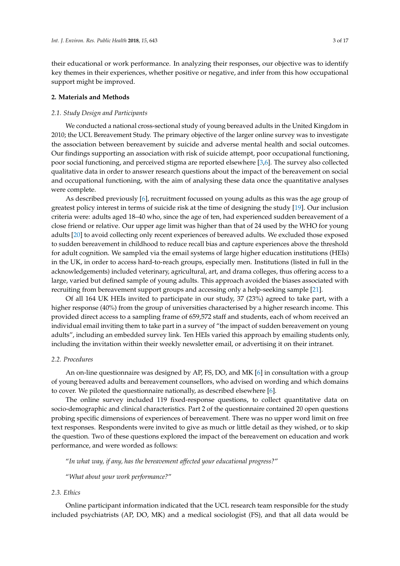their educational or work performance. In analyzing their responses, our objective was to identify key themes in their experiences, whether positive or negative, and infer from this how occupational support might be improved.

#### **2. Materials and Methods**

#### *2.1. Study Design and Participants*

We conducted a national cross-sectional study of young bereaved adults in the United Kingdom in 2010; the UCL Bereavement Study. The primary objective of the larger online survey was to investigate the association between bereavement by suicide and adverse mental health and social outcomes. Our findings supporting an association with risk of suicide attempt, poor occupational functioning, poor social functioning, and perceived stigma are reported elsewhere [\[3,](#page-14-2)[6\]](#page-14-5). The survey also collected qualitative data in order to answer research questions about the impact of the bereavement on social and occupational functioning, with the aim of analysing these data once the quantitative analyses were complete.

As described previously [\[6\]](#page-14-5), recruitment focussed on young adults as this was the age group of greatest policy interest in terms of suicide risk at the time of designing the study [\[19\]](#page-15-5). Our inclusion criteria were: adults aged 18–40 who, since the age of ten, had experienced sudden bereavement of a close friend or relative. Our upper age limit was higher than that of 24 used by the WHO for young adults [\[20\]](#page-15-6) to avoid collecting only recent experiences of bereaved adults. We excluded those exposed to sudden bereavement in childhood to reduce recall bias and capture experiences above the threshold for adult cognition. We sampled via the email systems of large higher education institutions (HEIs) in the UK, in order to access hard-to-reach groups, especially men. Institutions (listed in full in the acknowledgements) included veterinary, agricultural, art, and drama colleges, thus offering access to a large, varied but defined sample of young adults. This approach avoided the biases associated with recruiting from bereavement support groups and accessing only a help-seeking sample [\[21\]](#page-15-7).

Of all 164 UK HEIs invited to participate in our study, 37 (23%) agreed to take part, with a higher response (40%) from the group of universities characterised by a higher research income. This provided direct access to a sampling frame of 659,572 staff and students, each of whom received an individual email inviting them to take part in a survey of "the impact of sudden bereavement on young adults", including an embedded survey link. Ten HEIs varied this approach by emailing students only, including the invitation within their weekly newsletter email, or advertising it on their intranet.

#### *2.2. Procedures*

An on-line questionnaire was designed by AP, FS, DO, and MK  $[6]$  in consultation with a group of young bereaved adults and bereavement counsellors, who advised on wording and which domains to cover. We piloted the questionnaire nationally, as described elsewhere [\[6\]](#page-14-5).

The online survey included 119 fixed-response questions, to collect quantitative data on socio-demographic and clinical characteristics. Part 2 of the questionnaire contained 20 open questions probing specific dimensions of experiences of bereavement. There was no upper word limit on free text responses. Respondents were invited to give as much or little detail as they wished, or to skip the question. Two of these questions explored the impact of the bereavement on education and work performance, and were worded as follows:

"*In what way, if any, has the bereavement affected your educational progress?*"

"*What about your work performance?*"

### *2.3. Ethics*

Online participant information indicated that the UCL research team responsible for the study included psychiatrists (AP, DO, MK) and a medical sociologist (FS), and that all data would be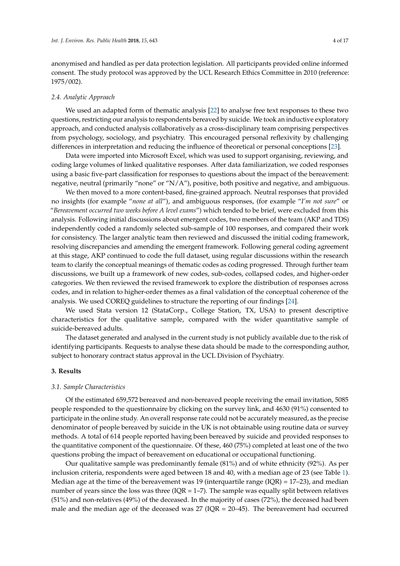anonymised and handled as per data protection legislation. All participants provided online informed consent. The study protocol was approved by the UCL Research Ethics Committee in 2010 (reference: 1975/002).

#### *2.4. Analytic Approach*

We used an adapted form of thematic analysis [\[22\]](#page-15-8) to analyse free text responses to these two questions, restricting our analysis to respondents bereaved by suicide. We took an inductive exploratory approach, and conducted analysis collaboratively as a cross-disciplinary team comprising perspectives from psychology, sociology, and psychiatry. This encouraged personal reflexivity by challenging differences in interpretation and reducing the influence of theoretical or personal conceptions [\[23\]](#page-15-9).

Data were imported into Microsoft Excel, which was used to support organising, reviewing, and coding large volumes of linked qualitative responses. After data familiarization, we coded responses using a basic five-part classification for responses to questions about the impact of the bereavement: negative, neutral (primarily "none" or "N/A"), positive, both positive and negative, and ambiguous.

We then moved to a more content-based, fine-grained approach. Neutral responses that provided no insights (for example "*none at all*"), and ambiguous responses, (for example "*I'm not sure*" or "*Bereavement occurred two weeks before A level exams*") which tended to be brief, were excluded from this analysis. Following initial discussions about emergent codes, two members of the team (AKP and TDS) independently coded a randomly selected sub-sample of 100 responses, and compared their work for consistency. The larger analytic team then reviewed and discussed the initial coding framework, resolving discrepancies and amending the emergent framework. Following general coding agreement at this stage, AKP continued to code the full dataset, using regular discussions within the research team to clarify the conceptual meanings of thematic codes as coding progressed. Through further team discussions, we built up a framework of new codes, sub-codes, collapsed codes, and higher-order categories. We then reviewed the revised framework to explore the distribution of responses across codes, and in relation to higher-order themes as a final validation of the conceptual coherence of the analysis. We used COREQ guidelines to structure the reporting of our findings [\[24\]](#page-15-10).

We used Stata version 12 (StataCorp., College Station, TX, USA) to present descriptive characteristics for the qualitative sample, compared with the wider quantitative sample of suicide-bereaved adults.

The dataset generated and analysed in the current study is not publicly available due to the risk of identifying participants. Requests to analyse these data should be made to the corresponding author, subject to honorary contract status approval in the UCL Division of Psychiatry.

## **3. Results**

#### *3.1. Sample Characteristics*

Of the estimated 659,572 bereaved and non-bereaved people receiving the email invitation, 5085 people responded to the questionnaire by clicking on the survey link, and 4630 (91%) consented to participate in the online study. An overall response rate could not be accurately measured, as the precise denominator of people bereaved by suicide in the UK is not obtainable using routine data or survey methods. A total of 614 people reported having been bereaved by suicide and provided responses to the quantitative component of the questionnaire. Of these, 460 (75%) completed at least one of the two questions probing the impact of bereavement on educational or occupational functioning.

Our qualitative sample was predominantly female (81%) and of white ethnicity (92%). As per inclusion criteria, respondents were aged between 18 and 40, with a median age of 23 (see Table [1\)](#page-4-0). Median age at the time of the bereavement was 19 (interquartile range  $(IQR) = 17-23$ ), and median number of years since the loss was three ( $IQR = 1-7$ ). The sample was equally split between relatives (51%) and non-relatives (49%) of the deceased. In the majority of cases (72%), the deceased had been male and the median age of the deceased was  $27$  (IQR = 20–45). The bereavement had occurred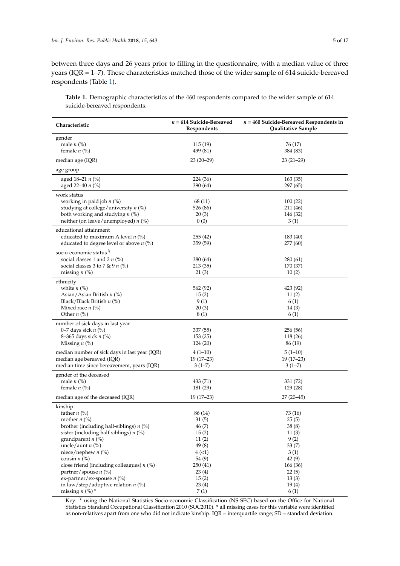between three days and 26 years prior to filling in the questionnaire, with a median value of three years (IQR = 1–7). These characteristics matched those of the wider sample of 614 suicide-bereaved respondents (Table [1\)](#page-4-0).

<span id="page-4-0"></span>**Table 1.** Demographic characteristics of the 460 respondents compared to the wider sample of 614 suicide-bereaved respondents.

| Characteristic                                | $n = 614$ Suicide-Bereaved<br>Respondents | $n = 460$ Suicide-Bereaved Respondents in<br>Qualitative Sample |
|-----------------------------------------------|-------------------------------------------|-----------------------------------------------------------------|
| gender                                        |                                           |                                                                 |
| male $n$ (%)                                  | 115 (19)                                  | 76 (17)                                                         |
| female $n$ (%)                                | 499 (81)                                  | 384 (83)                                                        |
| median age (IQR)                              | 23 (20–29)                                | $23(21-29)$                                                     |
| age group                                     |                                           |                                                                 |
| aged 18–21 <i>n</i> $(\%)$                    | 224 (36)                                  | 163 (35)                                                        |
| aged 22-40 n (%)                              | 390 (64)                                  | 297 (65)                                                        |
| work status                                   |                                           |                                                                 |
| working in paid job $n$ (%)                   | 68 (11)                                   | 100(22)                                                         |
| studying at college/university $n$ (%)        | 526 (86)                                  | 211 (46)                                                        |
| both working and studying $n$ (%)             | 20(3)                                     | 146 (32)                                                        |
| neither (on leave/unemployed) $n$ (%)         | 0(0)                                      | 3(1)                                                            |
| educational attainment                        |                                           |                                                                 |
| educated to maximum A level $n$ (%)           | 255 (42)                                  | 183 (40)                                                        |
| educated to degree level or above $n$ (%)     | 359 (59)                                  | 277 (60)                                                        |
| socio-economic status ¥                       |                                           |                                                                 |
| social classes 1 and 2 $n$ (%)                | 380 (64)                                  | 280 (61)                                                        |
| social classes 3 to 7 & 9 $n$ (%)             | 213(35)                                   | 170 (37)                                                        |
| missing $n$ (%)                               | 21(3)                                     | 10(2)                                                           |
|                                               |                                           |                                                                 |
| ethnicity                                     |                                           |                                                                 |
| white $n$ $\left(\frac{9}{6}\right)$          | 562 (92)                                  | 423 (92)                                                        |
| Asian/Asian British $n$ (%)                   | 15(2)                                     | 11(2)                                                           |
| Black/Black British $n$ (%)                   | 9(1)                                      | 6(1)                                                            |
| Mixed race $n$ (%)                            | 20(3)                                     | 14(3)                                                           |
| Other $n$ (%)                                 | 8(1)                                      | 6(1)                                                            |
| number of sick days in last year              |                                           |                                                                 |
| 0–7 days sick $n$ (%)                         | 337 (55)                                  | 256 (56)                                                        |
| 8–365 days sick $n$ (%)                       | 153(25)                                   | 118 (26)                                                        |
| Missing $n$ (%)                               | 124 (20)                                  | 86 (19)                                                         |
| median number of sick days in last year (IQR) | $4(1-10)$                                 | $5(1-10)$                                                       |
| median age bereaved (IQR)                     | $19(17-23)$                               | $19(17-23)$                                                     |
| median time since bereavement, years (IQR)    | $3(1-7)$                                  | $3(1-7)$                                                        |
| gender of the deceased                        |                                           |                                                                 |
| male $n$ (%)                                  | 433 (71)                                  | 331 (72)                                                        |
| female $n$ (%)                                | 181 (29)                                  | 129 (28)                                                        |
| median age of the deceased (IQR)              | $19(17-23)$                               | $27(20-45)$                                                     |
| kinship                                       |                                           |                                                                 |
| father $n$ (%)                                | 86 (14)                                   | 73 (16)                                                         |
| mother $n$ (%)                                | 31 (5)                                    | 25 (5)                                                          |
| brother (including half-siblings) $n$ (%)     | 46(7)                                     | 38(8)                                                           |
| sister (including half-siblings) $n$ (%)      | 15(2)                                     | 11(3)                                                           |
| grandparent $n$ (%)                           | 11(2)                                     | 9(2)                                                            |
| uncle/aunt $n$ (%)                            | 49(8)                                     | 33(7)                                                           |
| niece/nephew $n$ (%)                          | 4(1)                                      | 3(1)                                                            |
| cousin $n$ (%)                                | 54 (9)                                    | 42(9)                                                           |
| close friend (including colleagues) $n$ (%)   | 250 (41)                                  | 166 (36)                                                        |
| partner/spouse <i>n</i> (%)                   | 23(4)                                     | 22(5)                                                           |
| ex-partner/ex-spouse $n$ (%)                  | 15(2)                                     | 13(3)                                                           |
| in law/step/adoptive relation $n$ (%)         | 23(4)                                     | 19(4)                                                           |
| missing $n$ (%) $*$                           | 7(1)                                      | 6(1)                                                            |

Key: ¥ using the National Statistics Socio-economic Classification (NS-SEC) based on the Office for National Statistics Standard Occupational Classification 2010 (SOC2010). \* all missing cases for this variable were identified as non-relatives apart from one who did not indicate kinship. IQR = interquartile range; SD = standard deviation.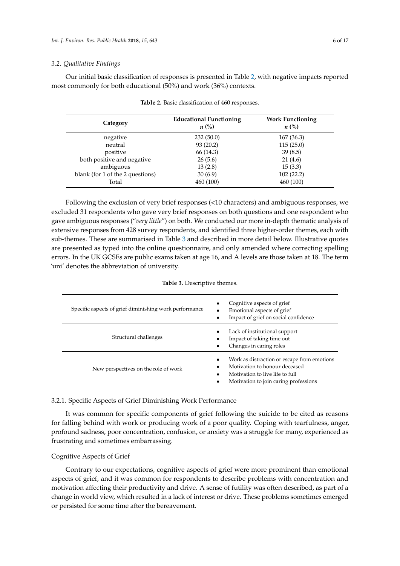#### *3.2. Qualitative Findings*

<span id="page-5-0"></span>Our initial basic classification of responses is presented in Table [2,](#page-5-0) with negative impacts reported most commonly for both educational (50%) and work (36%) contexts.

| Category                         | <b>Educational Functioning</b><br>$n\ (\%)$ | <b>Work Functioning</b><br>$n\left(\%\right)$ |
|----------------------------------|---------------------------------------------|-----------------------------------------------|
| negative                         | 232(50.0)                                   | 167(36.3)                                     |
| neutral                          | 93(20.2)                                    | 115(25.0)                                     |
| positive                         | 66 (14.3)                                   | 39(8.5)                                       |
| both positive and negative       | 26(5.6)                                     | 21(4.6)                                       |
| ambiguous                        | 13(2.8)                                     | 15(3.3)                                       |
| blank (for 1 of the 2 questions) | 30(6.9)                                     | 102(22.2)                                     |
| Total                            | 460 (100)                                   | 460 (100)                                     |

|  |  | Table 2. Basic classification of 460 responses. |  |  |
|--|--|-------------------------------------------------|--|--|
|--|--|-------------------------------------------------|--|--|

Following the exclusion of very brief responses (<10 characters) and ambiguous responses, we excluded 31 respondents who gave very brief responses on both questions and one respondent who gave ambiguous responses ("*very little*") on both. We conducted our more in-depth thematic analysis of extensive responses from 428 survey respondents, and identified three higher-order themes, each with sub-themes. These are summarised in Table [3](#page-5-1) and described in more detail below. Illustrative quotes are presented as typed into the online questionnaire, and only amended where correcting spelling errors. In the UK GCSEs are public exams taken at age 16, and A levels are those taken at 18. The term 'uni' denotes the abbreviation of university.

#### **Table 3.** Descriptive themes.

<span id="page-5-1"></span>

| Specific aspects of grief diminishing work performance | Cognitive aspects of grief<br>٠<br>Emotional aspects of grief<br>Impact of grief on social confidence                                                    |  |  |
|--------------------------------------------------------|----------------------------------------------------------------------------------------------------------------------------------------------------------|--|--|
| Structural challenges                                  | Lack of institutional support<br>Impact of taking time out<br>Changes in caring roles                                                                    |  |  |
| New perspectives on the role of work                   | Work as distraction or escape from emotions<br>Motivation to honour deceased<br>Motivation to live life to full<br>Motivation to join caring professions |  |  |

## 3.2.1. Specific Aspects of Grief Diminishing Work Performance

It was common for specific components of grief following the suicide to be cited as reasons for falling behind with work or producing work of a poor quality. Coping with tearfulness, anger, profound sadness, poor concentration, confusion, or anxiety was a struggle for many, experienced as frustrating and sometimes embarrassing.

#### Cognitive Aspects of Grief

Contrary to our expectations, cognitive aspects of grief were more prominent than emotional aspects of grief, and it was common for respondents to describe problems with concentration and motivation affecting their productivity and drive. A sense of futility was often described, as part of a change in world view, which resulted in a lack of interest or drive. These problems sometimes emerged or persisted for some time after the bereavement.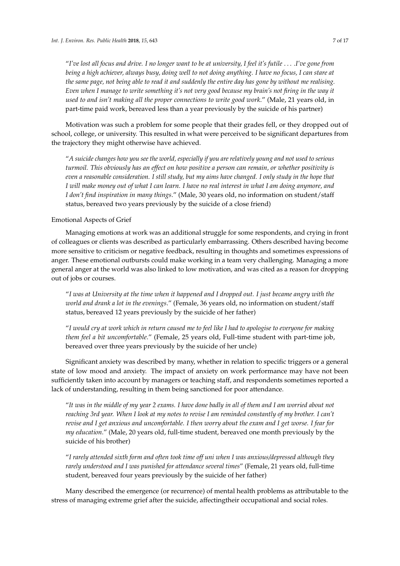"*I've lost all focus and drive. I no longer want to be at university, I feel it's futile* . . . *.I've gone from being a high achiever, always busy, doing well to not doing anything. I have no focus, I can stare at the same page, not being able to read it and suddenly the entire day has gone by without me realising. Even when I manage to write something it's not very good because my brain's not firing in the way it used to and isn't making all the proper connections to write good work*." (Male, 21 years old, in part-time paid work, bereaved less than a year previously by the suicide of his partner)

Motivation was such a problem for some people that their grades fell, or they dropped out of school, college, or university. This resulted in what were perceived to be significant departures from the trajectory they might otherwise have achieved.

"*A suicide changes how you see the world, especially if you are relatively young and not used to serious turmoil. This obviously has an effect on how positive a person can remain, or whether positivity is even a reasonable consideration. I still study, but my aims have changed. I only study in the hope that I will make money out of what I can learn. I have no real interest in what I am doing anymore, and I don't find inspiration in many things*." (Male, 30 years old, no information on student/staff status, bereaved two years previously by the suicide of a close friend)

#### Emotional Aspects of Grief

Managing emotions at work was an additional struggle for some respondents, and crying in front of colleagues or clients was described as particularly embarrassing. Others described having become more sensitive to criticism or negative feedback, resulting in thoughts and sometimes expressions of anger. These emotional outbursts could make working in a team very challenging. Managing a more general anger at the world was also linked to low motivation, and was cited as a reason for dropping out of jobs or courses.

"*I was at University at the time when it happened and I dropped out. I just became angry with the world and drank a lot in the evenings*." (Female, 36 years old, no information on student/staff status, bereaved 12 years previously by the suicide of her father)

"*I would cry at work which in return caused me to feel like I had to apologise to everyone for making them feel a bit uncomfortable*." (Female, 25 years old, Full-time student with part-time job, bereaved over three years previously by the suicide of her uncle)

Significant anxiety was described by many, whether in relation to specific triggers or a general state of low mood and anxiety. The impact of anxiety on work performance may have not been sufficiently taken into account by managers or teaching staff, and respondents sometimes reported a lack of understanding, resulting in them being sanctioned for poor attendance.

"*It was in the middle of my year 2 exams. I have done badly in all of them and I am worried about not reaching 3rd year. When I look at my notes to revise I am reminded constantly of my brother. I can't revise and I get anxious and uncomfortable. I then worry about the exam and I get worse. I fear for my education*." (Male, 20 years old, full-time student, bereaved one month previously by the suicide of his brother)

"*I rarely attended sixth form and often took time off uni when I was anxious/depressed although they rarely understood and I was punished for attendance several times*" (Female, 21 years old, full-time student, bereaved four years previously by the suicide of her father)

Many described the emergence (or recurrence) of mental health problems as attributable to the stress of managing extreme grief after the suicide, affectingtheir occupational and social roles.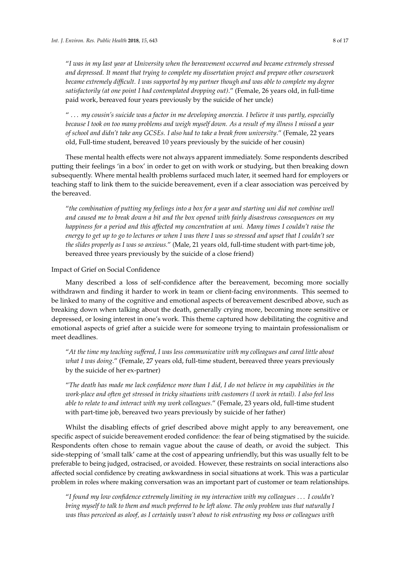"*I was in my last year at University when the bereavement occurred and became extremely stressed and depressed. It meant that trying to complete my dissertation project and prepare other coursework became extremely difficult. I was supported by my partner though and was able to complete my degree satisfactorily (at one point I had contemplated dropping out)*." (Female, 26 years old, in full-time paid work, bereaved four years previously by the suicide of her uncle)

" . . . *my cousin's suicide was a factor in me developing anorexia. I believe it was partly, especially because I took on too many problems and weigh myself down. As a result of my illness I missed a year of school and didn't take any GCSEs. I also had to take a break from university*." (Female, 22 years old, Full-time student, bereaved 10 years previously by the suicide of her cousin)

These mental health effects were not always apparent immediately. Some respondents described putting their feelings 'in a box' in order to get on with work or studying, but then breaking down subsequently. Where mental health problems surfaced much later, it seemed hard for employers or teaching staff to link them to the suicide bereavement, even if a clear association was perceived by the bereaved.

"*the combination of putting my feelings into a box for a year and starting uni did not combine well and caused me to break down a bit and the box opened with fairly disastrous consequences on my happiness for a period and this affected my concentration at uni. Many times I couldn't raise the energy to get up to go to lectures or when I was there I was so stressed and upset that I couldn't see the slides properly as I was so anxious.*" (Male, 21 years old, full-time student with part-time job, bereaved three years previously by the suicide of a close friend)

#### Impact of Grief on Social Confidence

Many described a loss of self-confidence after the bereavement, becoming more socially withdrawn and finding it harder to work in team or client-facing environments. This seemed to be linked to many of the cognitive and emotional aspects of bereavement described above, such as breaking down when talking about the death, generally crying more, becoming more sensitive or depressed, or losing interest in one's work. This theme captured how debilitating the cognitive and emotional aspects of grief after a suicide were for someone trying to maintain professionalism or meet deadlines.

"*At the time my teaching suffered, I was less communicative with my colleagues and cared little about what I was doing*." (Female, 27 years old, full-time student, bereaved three years previously by the suicide of her ex-partner)

"*The death has made me lack confidence more than I did, I do not believe in my capabilities in the work-place and often get stressed in tricky situations with customers (I work in retail). I also feel less able to relate to and interact with my work colleagues*." (Female, 23 years old, full-time student with part-time job, bereaved two years previously by suicide of her father)

Whilst the disabling effects of grief described above might apply to any bereavement, one specific aspect of suicide bereavement eroded confidence: the fear of being stigmatised by the suicide. Respondents often chose to remain vague about the cause of death, or avoid the subject. This side-stepping of 'small talk' came at the cost of appearing unfriendly, but this was usually felt to be preferable to being judged, ostracised, or avoided. However, these restraints on social interactions also affected social confidence by creating awkwardness in social situations at work. This was a particular problem in roles where making conversation was an important part of customer or team relationships.

"*I found my low confidence extremely limiting in my interaction with my colleagues* . . . *I couldn't bring myself to talk to them and much preferred to be left alone. The only problem was that naturally I was thus perceived as aloof, as I certainly wasn't about to risk entrusting my boss or colleagues with*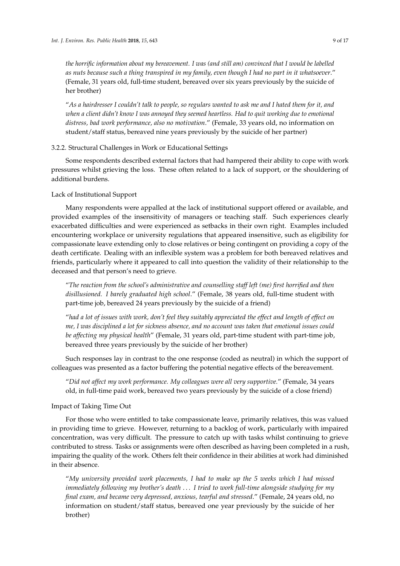*the horrific information about my bereavement. I was (and still am) convinced that I would be labelled as nuts because such a thing transpired in my family, even though I had no part in it whatsoever*." (Female, 31 years old, full-time student, bereaved over six years previously by the suicide of her brother)

"*As a hairdresser I couldn't talk to people, so regulars wanted to ask me and I hated them for it, and when a client didn't know I was annoyed they seemed heartless. Had to quit working due to emotional distress, bad work performance, also no motivation*." (Female, 33 years old, no information on student/staff status, bereaved nine years previously by the suicide of her partner)

## 3.2.2. Structural Challenges in Work or Educational Settings

Some respondents described external factors that had hampered their ability to cope with work pressures whilst grieving the loss. These often related to a lack of support, or the shouldering of additional burdens.

# Lack of Institutional Support

Many respondents were appalled at the lack of institutional support offered or available, and provided examples of the insensitivity of managers or teaching staff. Such experiences clearly exacerbated difficulties and were experienced as setbacks in their own right. Examples included encountering workplace or university regulations that appeared insensitive, such as eligibility for compassionate leave extending only to close relatives or being contingent on providing a copy of the death certificate. Dealing with an inflexible system was a problem for both bereaved relatives and friends, particularly where it appeared to call into question the validity of their relationship to the deceased and that person's need to grieve.

"*The reaction from the school's administrative and counselling staff left (me) first horrified and then disillusioned. I barely graduated high school*." (Female, 38 years old, full-time student with part-time job, bereaved 24 years previously by the suicide of a friend)

"*had a lot of issues with work, don't feel they suitably appreciated the effect and length of effect on me, I was disciplined a lot for sickness absence, and no account was taken that emotional issues could be affecting my physical health*" (Female, 31 years old, part-time student with part-time job, bereaved three years previously by the suicide of her brother)

Such responses lay in contrast to the one response (coded as neutral) in which the support of colleagues was presented as a factor buffering the potential negative effects of the bereavement.

"*Did not affect my work performance. My colleagues were all very supportive.*" (Female, 34 years old, in full-time paid work, bereaved two years previously by the suicide of a close friend)

### Impact of Taking Time Out

For those who were entitled to take compassionate leave, primarily relatives, this was valued in providing time to grieve. However, returning to a backlog of work, particularly with impaired concentration, was very difficult. The pressure to catch up with tasks whilst continuing to grieve contributed to stress. Tasks or assignments were often described as having been completed in a rush, impairing the quality of the work. Others felt their confidence in their abilities at work had diminished in their absence.

"*My university provided work placements, I had to make up the 5 weeks which I had missed immediately following my brother's death* . . . *I tried to work full-time alongside studying for my final exam, and became very depressed, anxious, tearful and stressed*." (Female, 24 years old, no information on student/staff status, bereaved one year previously by the suicide of her brother)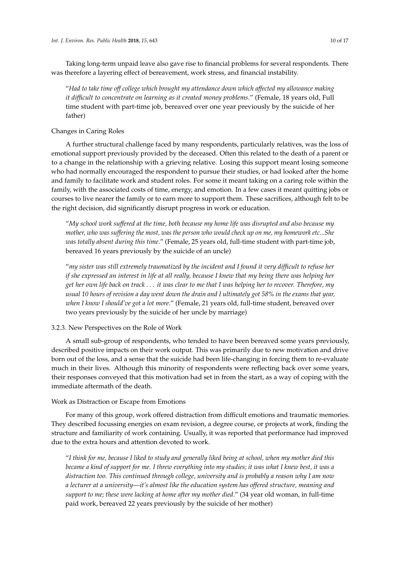Taking long-term unpaid leave also gave rise to financial problems for several respondents. There was therefore a layering effect of bereavement, work stress, and financial instability.

"*Had to take time off college which brought my attendance down which affected my allowance making it difficult to concentrate on learning as it created money problems*." (Female, 18 years old, Full time student with part-time job, bereaved over one year previously by the suicide of her father)

## Changes in Caring Roles

A further structural challenge faced by many respondents, particularly relatives, was the loss of emotional support previously provided by the deceased. Often this related to the death of a parent or to a change in the relationship with a grieving relative. Losing this support meant losing someone who had normally encouraged the respondent to pursue their studies, or had looked after the home and family to facilitate work and student roles. For some it meant taking on a caring role within the family, with the associated costs of time, energy, and emotion. In a few cases it meant quitting jobs or courses to live nearer the family or to earn more to support them. These sacrifices, although felt to be the right decision, did significantly disrupt progress in work or education.

"*My school work suffered at the time, both because my home life was disrupted and also because my mother, who was suffering the most, was the person who would check up on me, my homework etc...She was totally absent during this time*." (Female, 25 years old, full-time student with part-time job, bereaved 16 years previously by the suicide of an uncle)

"*my sister was still extremely traumatized by the incident and I found it very difficult to refuse her if she expressed an interest in life at all really, because I knew that my being there was helping her get her own life back on track* . . . *it was clear to me that I was helping her to recover. Therefore, my usual 10 hours of revision a day went down the drain and I ultimately got 58% in the exams that year, when I know I should've got a lot more*." (Female, 21 years old, full-time student, bereaved over two years previously by the suicide of her uncle by marriage)

### 3.2.3. New Perspectives on the Role of Work

A small sub-group of respondents, who tended to have been bereaved some years previously, described positive impacts on their work output. This was primarily due to new motivation and drive born out of the loss, and a sense that the suicide had been life-changing in forcing them to re-evaluate much in their lives. Although this minority of respondents were reflecting back over some years, their responses conveyed that this motivation had set in from the start, as a way of coping with the immediate aftermath of the death.

# Work as Distraction or Escape from Emotions

For many of this group, work offered distraction from difficult emotions and traumatic memories. They described focussing energies on exam revision, a degree course, or projects at work, finding the structure and familiarity of work containing. Usually, it was reported that performance had improved due to the extra hours and attention devoted to work.

"*I think for me, because I liked to study and generally liked being at school, when my mother died this became a kind of support for me. I threw everything into my studies; it was what I knew best, it was a distraction too. This continued through college, university and is probably a reason why I am now a lecturer at a university—it's almost like the education system has offered structure, meaning and support to me; these were lacking at home after my mother died*." (34 year old woman, in full-time paid work, bereaved 22 years previously by the suicide of her mother)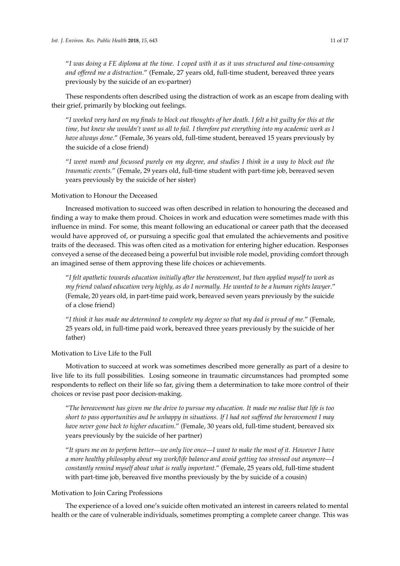"*I was doing a FE diploma at the time. I coped with it as it was structured and time-consuming and offered me a distraction*." (Female, 27 years old, full-time student, bereaved three years previously by the suicide of an ex-partner)

These respondents often described using the distraction of work as an escape from dealing with their grief, primarily by blocking out feelings.

"*I worked very hard on my finals to block out thoughts of her death. I felt a bit guilty for this at the time, but knew she wouldn't want us all to fail. I therefore put everything into my academic work as I have always done*." (Female, 36 years old, full-time student, bereaved 15 years previously by the suicide of a close friend)

"*I went numb and focussed purely on my degree, and studies I think in a way to block out the traumatic events.*" (Female, 29 years old, full-time student with part-time job, bereaved seven years previously by the suicide of her sister)

# Motivation to Honour the Deceased

Increased motivation to succeed was often described in relation to honouring the deceased and finding a way to make them proud. Choices in work and education were sometimes made with this influence in mind. For some, this meant following an educational or career path that the deceased would have approved of, or pursuing a specific goal that emulated the achievements and positive traits of the deceased. This was often cited as a motivation for entering higher education. Responses conveyed a sense of the deceased being a powerful but invisible role model, providing comfort through an imagined sense of them approving these life choices or achievements.

"*I felt apathetic towards education initially after the bereavement, but then applied myself to work as my friend valued education very highly, as do I normally. He wanted to be a human rights lawyer*." (Female, 20 years old, in part-time paid work, bereaved seven years previously by the suicide of a close friend)

"*I think it has made me determined to complete my degree so that my dad is proud of me.*" (Female, 25 years old, in full-time paid work, bereaved three years previously by the suicide of her father)

## Motivation to Live Life to the Full

Motivation to succeed at work was sometimes described more generally as part of a desire to live life to its full possibilities. Losing someone in traumatic circumstances had prompted some respondents to reflect on their life so far, giving them a determination to take more control of their choices or revise past poor decision-making.

"*The bereavement has given me the drive to pursue my education. It made me realise that life is too short to pass opportunities and be unhappy in situations. If I had not suffered the bereavement I may have never gone back to higher education*." (Female, 30 years old, full-time student, bereaved six years previously by the suicide of her partner)

"*It spurs me on to perform better—we only live once—I want to make the most of it. However I have a more healthy philosophy about my work/life balance and avoid getting too stressed out anymore—I constantly remind myself about what is really important*." (Female, 25 years old, full-time student with part-time job, bereaved five months previously by the by suicide of a cousin)

## Motivation to Join Caring Professions

The experience of a loved one's suicide often motivated an interest in careers related to mental health or the care of vulnerable individuals, sometimes prompting a complete career change. This was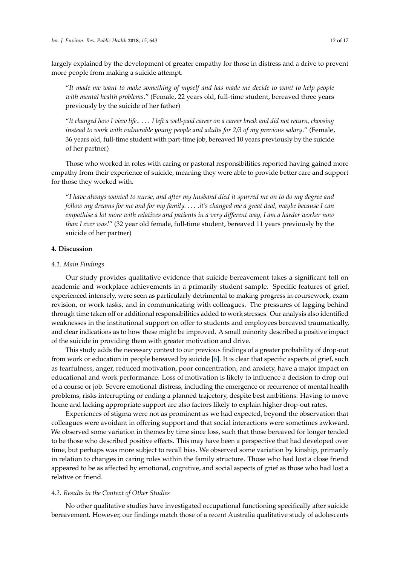largely explained by the development of greater empathy for those in distress and a drive to prevent more people from making a suicide attempt.

"*It made me want to make something of myself and has made me decide to want to help people with mental health problems*." (Female, 22 years old, full-time student, bereaved three years previously by the suicide of her father)

"*It changed how I view life..* . . . *I left a well-paid career on a career break and did not return, choosing instead to work with vulnerable young people and adults for 2/3 of my previous salary*." (Female, 36 years old, full-time student with part-time job, bereaved 10 years previously by the suicide of her partner)

Those who worked in roles with caring or pastoral responsibilities reported having gained more empathy from their experience of suicide, meaning they were able to provide better care and support for those they worked with.

"*I have always wanted to nurse, and after my husband died it spurred me on to do my degree and follow my dreams for me and for my family.* . . . *.it's changed me a great deal, maybe because I can empathise a lot more with relatives and patients in a very different way, I am a harder worker now than I ever was!*" (32 year old female, full-time student, bereaved 11 years previously by the suicide of her partner)

## **4. Discussion**

#### *4.1. Main Findings*

Our study provides qualitative evidence that suicide bereavement takes a significant toll on academic and workplace achievements in a primarily student sample. Specific features of grief, experienced intensely, were seen as particularly detrimental to making progress in coursework, exam revision, or work tasks, and in communicating with colleagues. The pressures of lagging behind through time taken off or additional responsibilities added to work stresses. Our analysis also identified weaknesses in the institutional support on offer to students and employees bereaved traumatically, and clear indications as to how these might be improved. A small minority described a positive impact of the suicide in providing them with greater motivation and drive.

This study adds the necessary context to our previous findings of a greater probability of drop-out from work or education in people bereaved by suicide [\[6\]](#page-14-5). It is clear that specific aspects of grief, such as tearfulness, anger, reduced motivation, poor concentration, and anxiety, have a major impact on educational and work performance. Loss of motivation is likely to influence a decision to drop out of a course or job. Severe emotional distress, including the emergence or recurrence of mental health problems, risks interrupting or ending a planned trajectory, despite best ambitions. Having to move home and lacking appropriate support are also factors likely to explain higher drop-out rates.

Experiences of stigma were not as prominent as we had expected, beyond the observation that colleagues were avoidant in offering support and that social interactions were sometimes awkward. We observed some variation in themes by time since loss, such that those bereaved for longer tended to be those who described positive effects. This may have been a perspective that had developed over time, but perhaps was more subject to recall bias. We observed some variation by kinship, primarily in relation to changes in caring roles within the family structure. Those who had lost a close friend appeared to be as affected by emotional, cognitive, and social aspects of grief as those who had lost a relative or friend.

#### *4.2. Results in the Context of Other Studies*

No other qualitative studies have investigated occupational functioning specifically after suicide bereavement. However, our findings match those of a recent Australia qualitative study of adolescents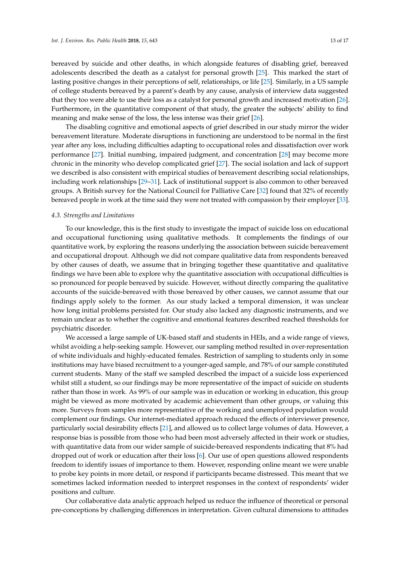bereaved by suicide and other deaths, in which alongside features of disabling grief, bereaved adolescents described the death as a catalyst for personal growth [\[25\]](#page-15-11). This marked the start of lasting positive changes in their perceptions of self, relationships, or life [\[25\]](#page-15-11). Similarly, in a US sample of college students bereaved by a parent's death by any cause, analysis of interview data suggested that they too were able to use their loss as a catalyst for personal growth and increased motivation [\[26\]](#page-15-12). Furthermore, in the quantitative component of that study, the greater the subjects' ability to find meaning and make sense of the loss, the less intense was their grief [\[26\]](#page-15-12).

The disabling cognitive and emotional aspects of grief described in our study mirror the wider bereavement literature. Moderate disruptions in functioning are understood to be normal in the first year after any loss, including difficulties adapting to occupational roles and dissatisfaction over work performance [\[27\]](#page-15-13). Initial numbing, impaired judgment, and concentration [\[28\]](#page-15-14) may become more chronic in the minority who develop complicated grief [\[27\]](#page-15-13). The social isolation and lack of support we described is also consistent with empirical studies of bereavement describing social relationships, including work relationships [\[29](#page-15-15)[–31\]](#page-15-16). Lack of institutional support is also common to other bereaved groups. A British survey for the National Council for Palliative Care [\[32\]](#page-15-17) found that 32% of recently bereaved people in work at the time said they were not treated with compassion by their employer [\[33\]](#page-15-18).

#### *4.3. Strengths and Limitations*

To our knowledge, this is the first study to investigate the impact of suicide loss on educational and occupational functioning using qualitative methods. It complements the findings of our quantitative work, by exploring the reasons underlying the association between suicide bereavement and occupational dropout. Although we did not compare qualitative data from respondents bereaved by other causes of death, we assume that in bringing together these quantitative and qualitative findings we have been able to explore why the quantitative association with occupational difficulties is so pronounced for people bereaved by suicide. However, without directly comparing the qualitative accounts of the suicide-bereaved with those bereaved by other causes, we cannot assume that our findings apply solely to the former. As our study lacked a temporal dimension, it was unclear how long initial problems persisted for. Our study also lacked any diagnostic instruments, and we remain unclear as to whether the cognitive and emotional features described reached thresholds for psychiatric disorder.

We accessed a large sample of UK-based staff and students in HEIs, and a wide range of views, whilst avoiding a help-seeking sample. However, our sampling method resulted in over-representation of white individuals and highly-educated females. Restriction of sampling to students only in some institutions may have biased recruitment to a younger-aged sample, and 78% of our sample constituted current students. Many of the staff we sampled described the impact of a suicide loss experienced whilst still a student, so our findings may be more representative of the impact of suicide on students rather than those in work. As 99% of our sample was in education or working in education, this group might be viewed as more motivated by academic achievement than other groups, or valuing this more. Surveys from samples more representative of the working and unemployed population would complement our findings. Our internet-mediated approach reduced the effects of interviewer presence, particularly social desirability effects [\[21\]](#page-15-7), and allowed us to collect large volumes of data. However, a response bias is possible from those who had been most adversely affected in their work or studies, with quantitative data from our wider sample of suicide-bereaved respondents indicating that 8% had dropped out of work or education after their loss [\[6\]](#page-14-5). Our use of open questions allowed respondents freedom to identify issues of importance to them. However, responding online meant we were unable to probe key points in more detail, or respond if participants became distressed. This meant that we sometimes lacked information needed to interpret responses in the context of respondents' wider positions and culture.

Our collaborative data analytic approach helped us reduce the influence of theoretical or personal pre-conceptions by challenging differences in interpretation. Given cultural dimensions to attitudes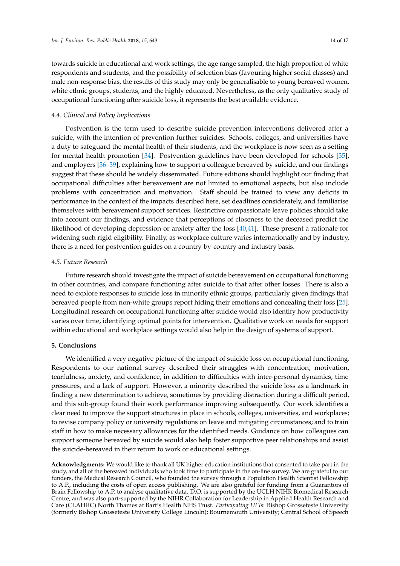towards suicide in educational and work settings, the age range sampled, the high proportion of white respondents and students, and the possibility of selection bias (favouring higher social classes) and male non-response bias, the results of this study may only be generalisable to young bereaved women, white ethnic groups, students, and the highly educated. Nevertheless, as the only qualitative study of occupational functioning after suicide loss, it represents the best available evidence.

#### *4.4. Clinical and Policy Implications*

Postvention is the term used to describe suicide prevention interventions delivered after a suicide, with the intention of prevention further suicides. Schools, colleges, and universities have a duty to safeguard the mental health of their students, and the workplace is now seen as a setting for mental health promotion [\[34\]](#page-15-19). Postvention guidelines have been developed for schools [\[35\]](#page-15-20), and employers [\[36–](#page-15-21)[39\]](#page-16-0), explaining how to support a colleague bereaved by suicide, and our findings suggest that these should be widely disseminated. Future editions should highlight our finding that occupational difficulties after bereavement are not limited to emotional aspects, but also include problems with concentration and motivation. Staff should be trained to view any deficits in performance in the context of the impacts described here, set deadlines considerately, and familiarise themselves with bereavement support services. Restrictive compassionate leave policies should take into account our findings, and evidence that perceptions of closeness to the deceased predict the likelihood of developing depression or anxiety after the loss [\[40,](#page-16-1)[41\]](#page-16-2). These present a rationale for widening such rigid eligibility. Finally, as workplace culture varies internationally and by industry, there is a need for postvention guides on a country-by-country and industry basis.

## *4.5. Future Research*

Future research should investigate the impact of suicide bereavement on occupational functioning in other countries, and compare functioning after suicide to that after other losses. There is also a need to explore responses to suicide loss in minority ethnic groups, particularly given findings that bereaved people from non-white groups report hiding their emotions and concealing their loss [\[25\]](#page-15-11). Longitudinal research on occupational functioning after suicide would also identify how productivity varies over time, identifying optimal points for intervention. Qualitative work on needs for support within educational and workplace settings would also help in the design of systems of support.

#### **5. Conclusions**

We identified a very negative picture of the impact of suicide loss on occupational functioning. Respondents to our national survey described their struggles with concentration, motivation, tearfulness, anxiety, and confidence, in addition to difficulties with inter-personal dynamics, time pressures, and a lack of support. However, a minority described the suicide loss as a landmark in finding a new determination to achieve, sometimes by providing distraction during a difficult period, and this sub-group found their work performance improving subsequently. Our work identifies a clear need to improve the support structures in place in schools, colleges, universities, and workplaces; to revise company policy or university regulations on leave and mitigating circumstances; and to train staff in how to make necessary allowances for the identified needs. Guidance on how colleagues can support someone bereaved by suicide would also help foster supportive peer relationships and assist the suicide-bereaved in their return to work or educational settings.

**Acknowledgments:** We would like to thank all UK higher education institutions that consented to take part in the study, and all of the bereaved individuals who took time to participate in the on-line survey. We are grateful to our funders, the Medical Research Council, who founded the survey through a Population Health Scientist Fellowship to A.P., including the costs of open access publishing. We are also grateful for funding from a Guarantors of Brain Fellowship to A.P. to analyse qualitative data. D.O. is supported by the UCLH NIHR Biomedical Research Centre, and was also part-supported by the NIHR Collaboration for Leadership in Applied Health Research and Care (CLAHRC) North Thames at Bart's Health NHS Trust. *Participating HEIs*: Bishop Grosseteste University (formerly Bishop Grosseteste University College Lincoln); Bournemouth University; Central School of Speech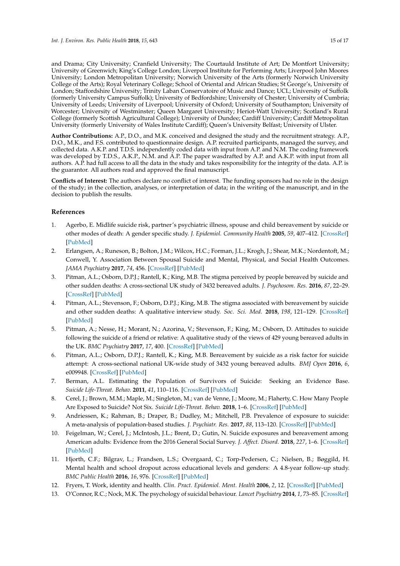and Drama; City University; Cranfield University; The Courtauld Institute of Art; De Montfort University; University of Greenwich; King's College London; Liverpool Institute for Performing Arts; Liverpool John Moores University; London Metropolitan University; Norwich University of the Arts (formerly Norwich University College of the Arts); Royal Veterinary College; School of Oriental and African Studies; St George's, University of London; Staffordshire University; Trinity Laban Conservatoire of Music and Dance; UCL; University of Suffolk (formerly University Campus Suffolk); University of Bedfordshire; University of Chester; University of Cumbria; University of Leeds; University of Liverpool; University of Oxford; University of Southampton; University of Worcester; University of Westminster; Queen Margaret University; Heriot-Watt University; Scotland's Rural College (formerly Scottish Agricultural College); University of Dundee; Cardiff University; Cardiff Metropolitan

**Author Contributions:** A.P., D.O., and M.K. conceived and designed the study and the recruitment strategy. A.P., D.O., M.K., and F.S. contributed to questionnaire design. A.P. recruited participants, managed the survey, and collected data. A.K.P. and T.D.S. independently coded data with input from A.P. and N.M. The coding framework was developed by T.D.S., A.K.P., N.M. and A.P. The paper wasdrafted by A.P. and A.K.P. with input from all authors. A.P. had full access to all the data in the study and takes responsibility for the integrity of the data. A.P. is the guarantor. All authors read and approved the final manuscript.

University (formerly University of Wales Institute Cardiff); Queen's University Belfast; University of Ulster.

**Conflicts of Interest:** The authors declare no conflict of interest. The funding sponsors had no role in the design of the study; in the collection, analyses, or interpretation of data; in the writing of the manuscript, and in the decision to publish the results.

# **References**

- <span id="page-14-0"></span>1. Agerbo, E. Midlife suicide risk, partner's psychiatric illness, spouse and child bereavement by suicide or other modes of death: A gender specific study. *J. Epidemiol. Community Health* **2005**, *59*, 407–412. [\[CrossRef\]](http://dx.doi.org/10.1136/jech.2004.024950) [\[PubMed\]](http://www.ncbi.nlm.nih.gov/pubmed/15831691)
- <span id="page-14-1"></span>2. Erlangsen, A.; Runeson, B.; Bolton, J.M.; Wilcox, H.C.; Forman, J.L.; Krogh, J.; Shear, M.K.; Nordentoft, M.; Conwell, Y. Association Between Spousal Suicide and Mental, Physical, and Social Health Outcomes. *JAMA Psychiatry* **2017**, *74*, 456. [\[CrossRef\]](http://dx.doi.org/10.1001/jamapsychiatry.2017.0226) [\[PubMed\]](http://www.ncbi.nlm.nih.gov/pubmed/28329305)
- <span id="page-14-2"></span>3. Pitman, A.L.; Osborn, D.P.J.; Rantell, K.; King, M.B. The stigma perceived by people bereaved by suicide and other sudden deaths: A cross-sectional UK study of 3432 bereaved adults. *J. Psychosom. Res.* **2016**, *87*, 22–29. [\[CrossRef\]](http://dx.doi.org/10.1016/j.jpsychores.2016.05.009) [\[PubMed\]](http://www.ncbi.nlm.nih.gov/pubmed/27411748)
- <span id="page-14-3"></span>4. Pitman, A.L.; Stevenson, F.; Osborn, D.P.J.; King, M.B. The stigma associated with bereavement by suicide and other sudden deaths: A qualitative interview study. *Soc. Sci. Med.* **2018**, *198*, 121–129. [\[CrossRef\]](http://dx.doi.org/10.1016/j.socscimed.2017.12.035) [\[PubMed\]](http://www.ncbi.nlm.nih.gov/pubmed/29316512)
- <span id="page-14-4"></span>5. Pitman, A.; Nesse, H.; Morant, N.; Azorina, V.; Stevenson, F.; King, M.; Osborn, D. Attitudes to suicide following the suicide of a friend or relative: A qualitative study of the views of 429 young bereaved adults in the UK. *BMC Psychiatry* **2017**, *17*, 400. [\[CrossRef\]](http://dx.doi.org/10.1186/s12888-017-1560-3) [\[PubMed\]](http://www.ncbi.nlm.nih.gov/pubmed/29237447)
- <span id="page-14-5"></span>6. Pitman, A.L.; Osborn, D.P.J.; Rantell, K.; King, M.B. Bereavement by suicide as a risk factor for suicide attempt: A cross-sectional national UK-wide study of 3432 young bereaved adults. *BMJ Open* **2016**, *6*, e009948. [\[CrossRef\]](http://dx.doi.org/10.1136/bmjopen-2015-009948) [\[PubMed\]](http://www.ncbi.nlm.nih.gov/pubmed/26813968)
- <span id="page-14-6"></span>7. Berman, A.L. Estimating the Population of Survivors of Suicide: Seeking an Evidence Base. *Suicide Life-Threat. Behav.* **2011**, *41*, 110–116. [\[CrossRef\]](http://dx.doi.org/10.1111/j.1943-278X.2010.00009.x) [\[PubMed\]](http://www.ncbi.nlm.nih.gov/pubmed/21309829)
- <span id="page-14-7"></span>8. Cerel, J.; Brown, M.M.; Maple, M.; Singleton, M.; van de Venne, J.; Moore, M.; Flaherty, C. How Many People Are Exposed to Suicide? Not Six. *Suicide Life-Threat. Behav.* **2018**, 1–6. [\[CrossRef\]](http://dx.doi.org/10.1111/sltb.12450) [\[PubMed\]](http://www.ncbi.nlm.nih.gov/pubmed/29512876)
- <span id="page-14-8"></span>9. Andriessen, K.; Rahman, B.; Draper, B.; Dudley, M.; Mitchell, P.B. Prevalence of exposure to suicide: A meta-analysis of population-based studies. *J. Psychiatr. Res.* **2017**, *88*, 113–120. [\[CrossRef\]](http://dx.doi.org/10.1016/j.jpsychires.2017.01.017) [\[PubMed\]](http://www.ncbi.nlm.nih.gov/pubmed/28199930)
- <span id="page-14-9"></span>10. Feigelman, W.; Cerel, J.; McIntosh, J.L.; Brent, D.; Gutin, N. Suicide exposures and bereavement among American adults: Evidence from the 2016 General Social Survey. *J. Affect. Disord.* **2018**, *227*, 1–6. [\[CrossRef\]](http://dx.doi.org/10.1016/j.jad.2017.09.056) [\[PubMed\]](http://www.ncbi.nlm.nih.gov/pubmed/29045914)
- <span id="page-14-10"></span>11. Hjorth, C.F.; Bilgrav, L.; Frandsen, L.S.; Overgaard, C.; Torp-Pedersen, C.; Nielsen, B.; Bøggild, H. Mental health and school dropout across educational levels and genders: A 4.8-year follow-up study. *BMC Public Health* **2016**, *16*, 976. [\[CrossRef\]](http://dx.doi.org/10.1186/s12889-016-3622-8) [\[PubMed\]](http://www.ncbi.nlm.nih.gov/pubmed/27627885)
- <span id="page-14-11"></span>12. Fryers, T. Work, identity and health. *Clin. Pract. Epidemiol. Ment. Health* **2006**, *2*, 12. [\[CrossRef\]](http://dx.doi.org/10.1186/1745-0179-2-12) [\[PubMed\]](http://www.ncbi.nlm.nih.gov/pubmed/16737521)
- <span id="page-14-12"></span>13. O'Connor, R.C.; Nock, M.K. The psychology of suicidal behaviour. *Lancet Psychiatry* **2014**, *1*, 73–85. [\[CrossRef\]](http://dx.doi.org/10.1016/S2215-0366(14)70222-6)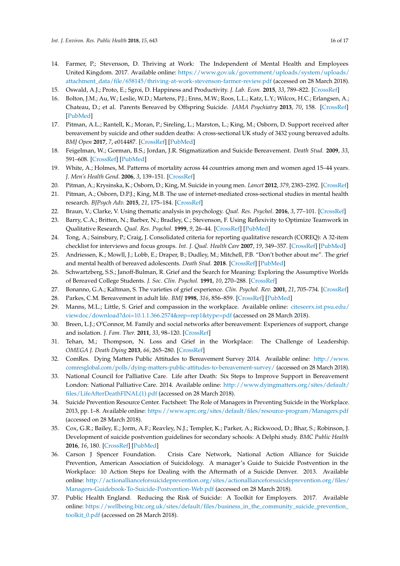- <span id="page-15-0"></span>14. Farmer, P.; Stevenson, D. Thriving at Work: The Independent of Mental Health and Employees United Kingdom. 2017. Available online: [https://www.gov.uk/government/uploads/system/uploads/](https://www.gov.uk/government/uploads/system/uploads/attachment_data/file/658145/thriving-at-work-stevenson-farmer-review.pdf) [attachment\\_data/file/658145/thriving-at-work-stevenson-farmer-review.pdf](https://www.gov.uk/government/uploads/system/uploads/attachment_data/file/658145/thriving-at-work-stevenson-farmer-review.pdf) (accessed on 28 March 2018).
- <span id="page-15-1"></span>15. Oswald, A.J.; Proto, E.; Sgroi, D. Happiness and Productivity. *J. Lab. Econ.* **2015**, *33*, 789–822. [\[CrossRef\]](http://dx.doi.org/10.1086/681096)
- <span id="page-15-2"></span>16. Bolton, J.M.; Au, W.; Leslie, W.D.; Martens, P.J.; Enns, M.W.; Roos, L.L.; Katz, L.Y.; Wilcox, H.C.; Erlangsen, A.; Chateau, D.; et al. Parents Bereaved by Offspring Suicide. *JAMA Psychiatry* **2013**, *70*, 158. [\[CrossRef\]](http://dx.doi.org/10.1001/jamapsychiatry.2013.275) [\[PubMed\]](http://www.ncbi.nlm.nih.gov/pubmed/23229880)
- <span id="page-15-3"></span>17. Pitman, A.L.; Rantell, K.; Moran, P.; Sireling, L.; Marston, L.; King, M.; Osborn, D. Support received after bereavement by suicide and other sudden deaths: A cross-sectional UK study of 3432 young bereaved adults. *BMJ Open* **2017**, *7*, e014487. [\[CrossRef\]](http://dx.doi.org/10.1136/bmjopen-2016-014487) [\[PubMed\]](http://www.ncbi.nlm.nih.gov/pubmed/28554915)
- <span id="page-15-4"></span>18. Feigelman, W.; Gorman, B.S.; Jordan, J.R. Stigmatization and Suicide Bereavement. *Death Stud.* **2009**, *33*, 591–608. [\[CrossRef\]](http://dx.doi.org/10.1080/07481180902979973) [\[PubMed\]](http://www.ncbi.nlm.nih.gov/pubmed/19623760)
- <span id="page-15-5"></span>19. White, A.; Holmes, M. Patterns of mortality across 44 countries among men and women aged 15–44 years. *J. Men's Health Gend.* **2006**, *3*, 139–151. [\[CrossRef\]](http://dx.doi.org/10.1016/j.jmhg.2006.04.002)
- <span id="page-15-6"></span>20. Pitman, A.; Krysinska, K.; Osborn, D.; King, M. Suicide in young men. *Lancet* **2012**, *379*, 2383–2392. [\[CrossRef\]](http://dx.doi.org/10.1016/S0140-6736(12)60731-4)
- <span id="page-15-7"></span>21. Pitman, A.; Osborn, D.P.J.; King, M.B. The use of internet-mediated cross-sectional studies in mental health research. *BJPsych Adv.* **2015**, *21*, 175–184. [\[CrossRef\]](http://dx.doi.org/10.1192/apt.bp.114.012948)
- <span id="page-15-8"></span>22. Braun, V.; Clarke, V. Using thematic analysis in psychology. *Qual. Res. Psychol.* **2016**, *3*, 77–101. [\[CrossRef\]](http://dx.doi.org/10.1191/1478088706qp063oa)
- <span id="page-15-9"></span>23. Barry, C.A.; Britten, N.; Barber, N.; Bradley, C.; Stevenson, F. Using Reflexivity to Optimize Teamwork in Qualitative Research. *Qual. Res. Psychol.* **1999**, *9*, 26–44. [\[CrossRef\]](http://dx.doi.org/10.1177/104973299129121677) [\[PubMed\]](http://www.ncbi.nlm.nih.gov/pubmed/10558357)
- <span id="page-15-10"></span>24. Tong, A.; Sainsbury, P.; Craig, J. Consolidated criteria for reporting qualitative research (COREQ): A 32-item checklist for interviews and focus groups. *Int. J. Qual. Health Care* **2007**, *19*, 349–357. [\[CrossRef\]](http://dx.doi.org/10.1093/intqhc/mzm042) [\[PubMed\]](http://www.ncbi.nlm.nih.gov/pubmed/17872937)
- <span id="page-15-11"></span>25. Andriessen, K.; Mowll, J.; Lobb, E.; Draper, B.; Dudley, M.; Mitchell, P.B. "Don't bother about me". The grief and mental health of bereaved adolescents. *Death Stud.* **2018**. [\[CrossRef\]](http://dx.doi.org/10.1080/07481187.2017.1415393) [\[PubMed\]](http://www.ncbi.nlm.nih.gov/pubmed/29364783)
- <span id="page-15-12"></span>26. Schwartzberg, S.S.; Janoff-Bulman, R. Grief and the Search for Meaning: Exploring the Assumptive Worlds of Bereaved College Students. *J. Soc. Clin. Psychol.* **1991**, *10*, 270–288. [\[CrossRef\]](http://dx.doi.org/10.1521/jscp.1991.10.3.270)
- <span id="page-15-13"></span>27. Bonanno, G.A.; Kaltman, S. The varieties of grief experience. *Clin. Psychol. Rev.* **2001**, *21*, 705–734. [\[CrossRef\]](http://dx.doi.org/10.1016/S0272-7358(00)00062-3)
- <span id="page-15-14"></span>28. Parkes, C.M. Bereavement in adult life. *BMJ* **1998**, *316*, 856–859. [\[CrossRef\]](http://dx.doi.org/10.1136/bmj.316.7134.856) [\[PubMed\]](http://www.ncbi.nlm.nih.gov/pubmed/9549464)
- <span id="page-15-15"></span>29. Manns, M.L.; Little, S. Grief and compassion in the workplace. Available online: [citeseerx.ist.psu.edu/](citeseerx.ist.psu.edu/viewdoc/download?doi=10.1.1.366.2574&rep=rep1&type=pdf) [viewdoc/download?doi=10.1.1.366.2574&rep=rep1&type=pdf](citeseerx.ist.psu.edu/viewdoc/download?doi=10.1.1.366.2574&rep=rep1&type=pdf) (accessed on 28 March 2018).
- 30. Breen, L.J.; O'Connor, M. Family and social networks after bereavement: Experiences of support, change and isolation. *J. Fam. Ther.* **2011**, *33*, 98–120. [\[CrossRef\]](http://dx.doi.org/10.1111/j.1467-6427.2010.00495.x)
- <span id="page-15-16"></span>31. Tehan, M.; Thompson, N. Loss and Grief in the Workplace: The Challenge of Leadership. *OMEGA J. Death Dying* **2013**, *66*, 265–280. [\[CrossRef\]](http://dx.doi.org/10.2190/OM.66.3.d)
- <span id="page-15-17"></span>32. ComRes. Dying Matters Public Attitudes to Bereavement Survey 2014. Available online: [http://www.](http://www.comresglobal.com/polls/dying-matters-public-attitudes-to-bereavement-survey/) [comresglobal.com/polls/dying-matters-public-attitudes-to-bereavement-survey/](http://www.comresglobal.com/polls/dying-matters-public-attitudes-to-bereavement-survey/) (accessed on 28 March 2018).
- <span id="page-15-18"></span>33. National Council for Palliative Care. Life after Death: Six Steps to Improve Support in Bereavement London: National Palliative Care. 2014. Available online: [http://www.dyingmatters.org/sites/default/](http://www.dyingmatters.org/sites/default/files/Life After Death FINAL(1).pdf) [files/LifeAfterDeathFINAL\(1\).pdf](http://www.dyingmatters.org/sites/default/files/Life After Death FINAL(1).pdf) (accessed on 28 March 2018).
- <span id="page-15-19"></span>34. Suicide Prevention Resource Center. Factsheet: The Role of Managers in Preventing Suicide in the Workplace. 2013, pp. 1–8. Available online: <https://www.sprc.org/sites/default/files/resource-program/Managers.pdf> (accessed on 28 March 2018).
- <span id="page-15-20"></span>35. Cox, G.R.; Bailey, E.; Jorm, A.F.; Reavley, N.J.; Templer, K.; Parker, A.; Rickwood, D.; Bhar, S.; Robinson, J. Development of suicide postvention guidelines for secondary schools: A Delphi study. *BMC Public Health* **2016**, *16*, 180. [\[CrossRef\]](http://dx.doi.org/10.1186/s12889-016-2822-6) [\[PubMed\]](http://www.ncbi.nlm.nih.gov/pubmed/26912256)
- <span id="page-15-21"></span>36. Carson J Spencer Foundation. Crisis Care Network, National Action Alliance for Suicide Prevention, American Association of Suicidology. A manager's Guide to Suicide Postvention in the Workplace: 10 Action Steps for Dealing with the Aftermath of a Suicide Denver. 2013. Available online: [http://actionallianceforsuicideprevention.org/sites/actionallianceforsuicideprevention.org/files/](http://actionallianceforsuicideprevention.org/sites/actionallianceforsuicideprevention.org/files/Managers-Guidebook-To-Suicide-Postvention-Web.pdf) [Managers-Guidebook-To-Suicide-Postvention-Web.pdf](http://actionallianceforsuicideprevention.org/sites/actionallianceforsuicideprevention.org/files/Managers-Guidebook-To-Suicide-Postvention-Web.pdf) (accessed on 28 March 2018).
- 37. Public Health England. Reducing the Risk of Suicide: A Toolkit for Employers. 2017. Available online: [https://wellbeing.bitc.org.uk/sites/default/files/business\\_in\\_the\\_community\\_suicide\\_prevention\\_](https://wellbeing.bitc.org.uk/sites/default/files/business_in_the_community_suicide_prevention_toolkit_0.pdf) [toolkit\\_0.pdf](https://wellbeing.bitc.org.uk/sites/default/files/business_in_the_community_suicide_prevention_toolkit_0.pdf) (accessed on 28 March 2018).